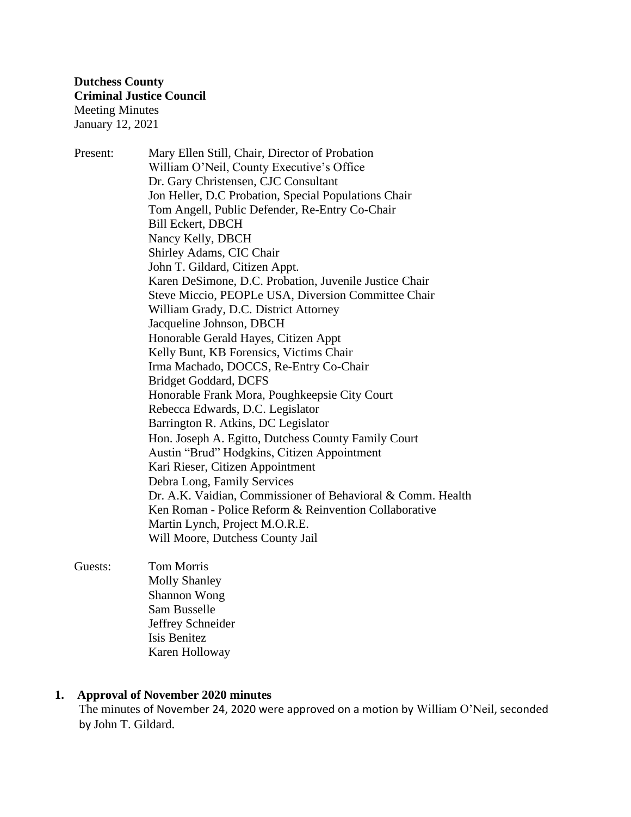Present: Mary Ellen Still, Chair, Director of Probation William O'Neil, County Executive's Office Dr. Gary Christensen, CJC Consultant Jon Heller, D.C Probation, Special Populations Chair Tom Angell, Public Defender, Re-Entry Co-Chair Bill Eckert, DBCH Nancy Kelly, DBCH Shirley Adams, CIC Chair John T. Gildard, Citizen Appt. Karen DeSimone, D.C. Probation, Juvenile Justice Chair Steve Miccio, PEOPLe USA, Diversion Committee Chair William Grady, D.C. District Attorney Jacqueline Johnson, DBCH Honorable Gerald Hayes, Citizen Appt Kelly Bunt, KB Forensics, Victims Chair Irma Machado, DOCCS, Re-Entry Co-Chair Bridget Goddard, DCFS Honorable Frank Mora, Poughkeepsie City Court Rebecca Edwards, D.C. Legislator Barrington R. Atkins, DC Legislator Hon. Joseph A. Egitto, Dutchess County Family Court Austin "Brud" Hodgkins, Citizen Appointment Kari Rieser, Citizen Appointment Debra Long, Family Services Dr. A.K. Vaidian, Commissioner of Behavioral & Comm. Health Ken Roman - Police Reform & Reinvention Collaborative Martin Lynch, Project M.O.R.E. Will Moore, Dutchess County Jail

## Guests: Tom Morris Molly Shanley Shannon Wong Sam Busselle Jeffrey Schneider Isis Benitez Karen Holloway

# **1. Approval of November 2020 minutes**

The minutes of November 24, 2020 were approved on a motion by William O'Neil, seconded by John T. Gildard.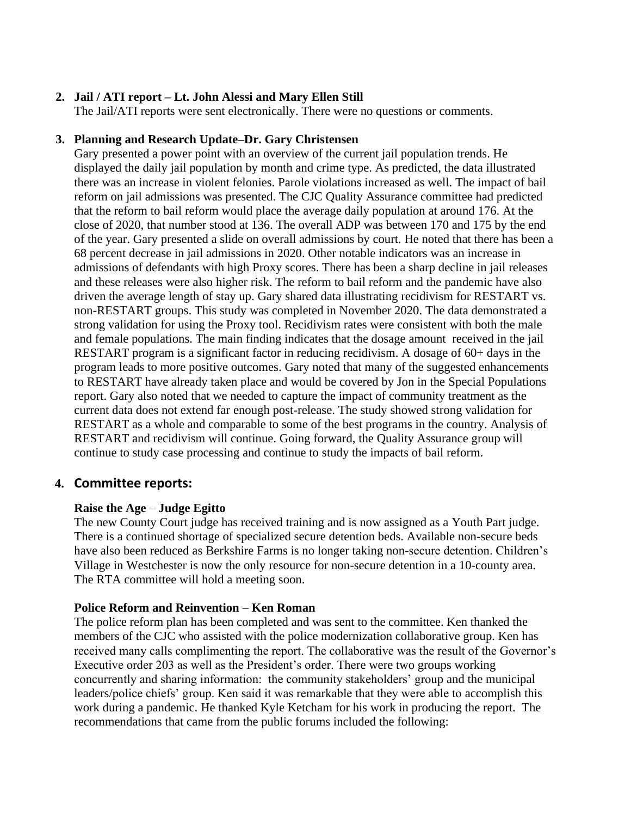# **2. Jail / ATI report – Lt. John Alessi and Mary Ellen Still**

The Jail/ATI reports were sent electronically. There were no questions or comments.

## **3. Planning and Research Update–Dr. Gary Christensen**

Gary presented a power point with an overview of the current jail population trends. He displayed the daily jail population by month and crime type. As predicted, the data illustrated there was an increase in violent felonies. Parole violations increased as well. The impact of bail reform on jail admissions was presented. The CJC Quality Assurance committee had predicted that the reform to bail reform would place the average daily population at around 176. At the close of 2020, that number stood at 136. The overall ADP was between 170 and 175 by the end of the year. Gary presented a slide on overall admissions by court. He noted that there has been a 68 percent decrease in jail admissions in 2020. Other notable indicators was an increase in admissions of defendants with high Proxy scores. There has been a sharp decline in jail releases and these releases were also higher risk. The reform to bail reform and the pandemic have also driven the average length of stay up. Gary shared data illustrating recidivism for RESTART vs. non-RESTART groups. This study was completed in November 2020. The data demonstrated a strong validation for using the Proxy tool. Recidivism rates were consistent with both the male and female populations. The main finding indicates that the dosage amount received in the jail RESTART program is a significant factor in reducing recidivism. A dosage of 60+ days in the program leads to more positive outcomes. Gary noted that many of the suggested enhancements to RESTART have already taken place and would be covered by Jon in the Special Populations report. Gary also noted that we needed to capture the impact of community treatment as the current data does not extend far enough post-release. The study showed strong validation for RESTART as a whole and comparable to some of the best programs in the country. Analysis of RESTART and recidivism will continue. Going forward, the Quality Assurance group will continue to study case processing and continue to study the impacts of bail reform.

# **4. Committee reports:**

### **Raise the Age** – **Judge Egitto**

The new County Court judge has received training and is now assigned as a Youth Part judge. There is a continued shortage of specialized secure detention beds. Available non-secure beds have also been reduced as Berkshire Farms is no longer taking non-secure detention. Children's Village in Westchester is now the only resource for non-secure detention in a 10-county area. The RTA committee will hold a meeting soon.

# **Police Reform and Reinvention** – **Ken Roman**

The police reform plan has been completed and was sent to the committee. Ken thanked the members of the CJC who assisted with the police modernization collaborative group. Ken has received many calls complimenting the report. The collaborative was the result of the Governor's Executive order 203 as well as the President's order. There were two groups working concurrently and sharing information: the community stakeholders' group and the municipal leaders/police chiefs' group. Ken said it was remarkable that they were able to accomplish this work during a pandemic. He thanked Kyle Ketcham for his work in producing the report. The recommendations that came from the public forums included the following: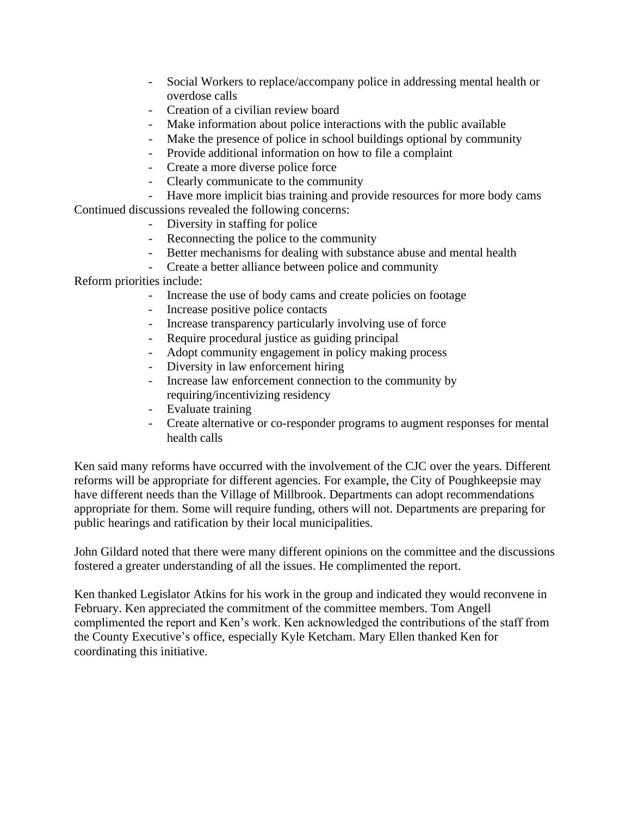- Social Workers to replace/accompany police in addressing mental health or overdose calls
- Creation of a civilian review board
- Make information about police interactions with the public available
- Make the presence of police in school buildings optional by community
- Provide additional information on how to file a complaint
- Create a more diverse police force
- Clearly communicate to the community
- Have more implicit bias training and provide resources for more body cams Continued discussions revealed the following concerns:
	- Diversity in staffing for police
	- Reconnecting the police to the community
	- Better mechanisms for dealing with substance abuse and mental health
	- Create a better alliance between police and community

Reform priorities include:

- Increase the use of body cams and create policies on footage
- Increase positive police contacts
- Increase transparency particularly involving use of force
- Require procedural justice as guiding principal
- Adopt community engagement in policy making process
- Diversity in law enforcement hiring
- Increase law enforcement connection to the community by requiring/incentivizing residency
- Evaluate training
- Create alternative or co-responder programs to augment responses for mental health calls

Ken said many reforms have occurred with the involvement of the CJC over the years. Different reforms will be appropriate for different agencies. For example, the City of Poughkeepsie may have different needs than the Village of Millbrook. Departments can adopt recommendations appropriate for them. Some will require funding, others will not. Departments are preparing for public hearings and ratification by their local municipalities.

John Gildard noted that there were many different opinions on the committee and the discussions fostered a greater understanding of all the issues. He complimented the report.

Ken thanked Legislator Atkins for his work in the group and indicated they would reconvene in February. Ken appreciated the commitment of the committee members. Tom Angell complimented the report and Ken's work. Ken acknowledged the contributions of the staff from the County Executive's office, especially Kyle Ketcham. Mary Ellen thanked Ken for coordinating this initiative.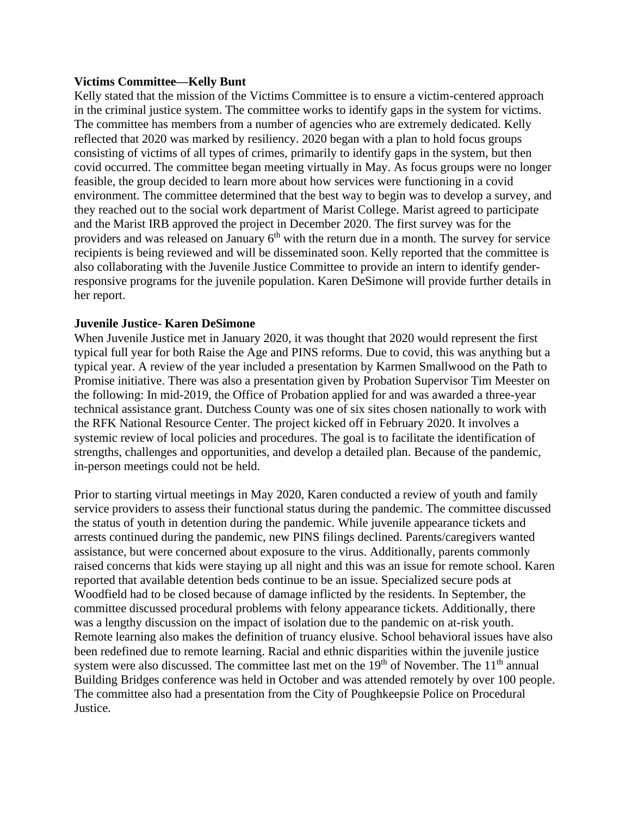#### **Victims Committee—Kelly Bunt**

Kelly stated that the mission of the Victims Committee is to ensure a victim-centered approach in the criminal justice system. The committee works to identify gaps in the system for victims. The committee has members from a number of agencies who are extremely dedicated. Kelly reflected that 2020 was marked by resiliency. 2020 began with a plan to hold focus groups consisting of victims of all types of crimes, primarily to identify gaps in the system, but then covid occurred. The committee began meeting virtually in May. As focus groups were no longer feasible, the group decided to learn more about how services were functioning in a covid environment. The committee determined that the best way to begin was to develop a survey, and they reached out to the social work department of Marist College. Marist agreed to participate and the Marist IRB approved the project in December 2020. The first survey was for the providers and was released on January  $6<sup>th</sup>$  with the return due in a month. The survey for service recipients is being reviewed and will be disseminated soon. Kelly reported that the committee is also collaborating with the Juvenile Justice Committee to provide an intern to identify genderresponsive programs for the juvenile population. Karen DeSimone will provide further details in her report.

### **Juvenile Justice- Karen DeSimone**

When Juvenile Justice met in January 2020, it was thought that 2020 would represent the first typical full year for both Raise the Age and PINS reforms. Due to covid, this was anything but a typical year. A review of the year included a presentation by Karmen Smallwood on the Path to Promise initiative. There was also a presentation given by Probation Supervisor Tim Meester on the following: In mid-2019, the Office of Probation applied for and was awarded a three-year technical assistance grant. Dutchess County was one of six sites chosen nationally to work with the RFK National Resource Center. The project kicked off in February 2020. It involves a systemic review of local policies and procedures. The goal is to facilitate the identification of strengths, challenges and opportunities, and develop a detailed plan. Because of the pandemic, in-person meetings could not be held.

Prior to starting virtual meetings in May 2020, Karen conducted a review of youth and family service providers to assess their functional status during the pandemic. The committee discussed the status of youth in detention during the pandemic. While juvenile appearance tickets and arrests continued during the pandemic, new PINS filings declined. Parents/caregivers wanted assistance, but were concerned about exposure to the virus. Additionally, parents commonly raised concerns that kids were staying up all night and this was an issue for remote school. Karen reported that available detention beds continue to be an issue. Specialized secure pods at Woodfield had to be closed because of damage inflicted by the residents. In September, the committee discussed procedural problems with felony appearance tickets. Additionally, there was a lengthy discussion on the impact of isolation due to the pandemic on at-risk youth. Remote learning also makes the definition of truancy elusive. School behavioral issues have also been redefined due to remote learning. Racial and ethnic disparities within the juvenile justice system were also discussed. The committee last met on the  $19<sup>th</sup>$  of November. The  $11<sup>th</sup>$  annual Building Bridges conference was held in October and was attended remotely by over 100 people. The committee also had a presentation from the City of Poughkeepsie Police on Procedural Justice.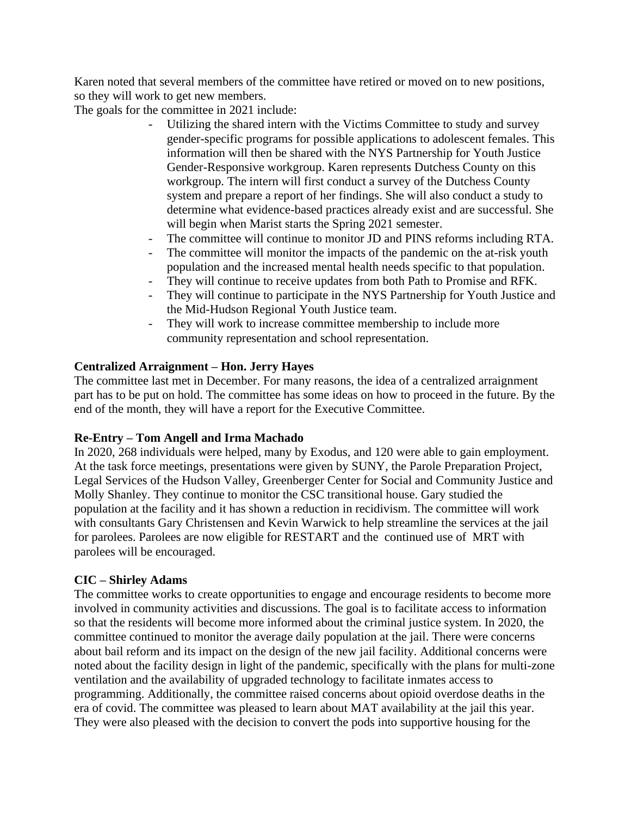Karen noted that several members of the committee have retired or moved on to new positions, so they will work to get new members.

The goals for the committee in 2021 include:

- Utilizing the shared intern with the Victims Committee to study and survey gender-specific programs for possible applications to adolescent females. This information will then be shared with the NYS Partnership for Youth Justice Gender-Responsive workgroup. Karen represents Dutchess County on this workgroup. The intern will first conduct a survey of the Dutchess County system and prepare a report of her findings. She will also conduct a study to determine what evidence-based practices already exist and are successful. She will begin when Marist starts the Spring 2021 semester.
- The committee will continue to monitor JD and PINS reforms including RTA.
- The committee will monitor the impacts of the pandemic on the at-risk youth population and the increased mental health needs specific to that population.
- They will continue to receive updates from both Path to Promise and RFK.
- They will continue to participate in the NYS Partnership for Youth Justice and the Mid-Hudson Regional Youth Justice team.
- They will work to increase committee membership to include more community representation and school representation.

### **Centralized Arraignment – Hon. Jerry Hayes**

The committee last met in December. For many reasons, the idea of a centralized arraignment part has to be put on hold. The committee has some ideas on how to proceed in the future. By the end of the month, they will have a report for the Executive Committee.

# **Re-Entry – Tom Angell and Irma Machado**

In 2020, 268 individuals were helped, many by Exodus, and 120 were able to gain employment. At the task force meetings, presentations were given by SUNY, the Parole Preparation Project, Legal Services of the Hudson Valley, Greenberger Center for Social and Community Justice and Molly Shanley. They continue to monitor the CSC transitional house. Gary studied the population at the facility and it has shown a reduction in recidivism. The committee will work with consultants Gary Christensen and Kevin Warwick to help streamline the services at the jail for parolees. Parolees are now eligible for RESTART and the continued use of MRT with parolees will be encouraged.

### **CIC – Shirley Adams**

The committee works to create opportunities to engage and encourage residents to become more involved in community activities and discussions. The goal is to facilitate access to information so that the residents will become more informed about the criminal justice system. In 2020, the committee continued to monitor the average daily population at the jail. There were concerns about bail reform and its impact on the design of the new jail facility. Additional concerns were noted about the facility design in light of the pandemic, specifically with the plans for multi-zone ventilation and the availability of upgraded technology to facilitate inmates access to programming. Additionally, the committee raised concerns about opioid overdose deaths in the era of covid. The committee was pleased to learn about MAT availability at the jail this year. They were also pleased with the decision to convert the pods into supportive housing for the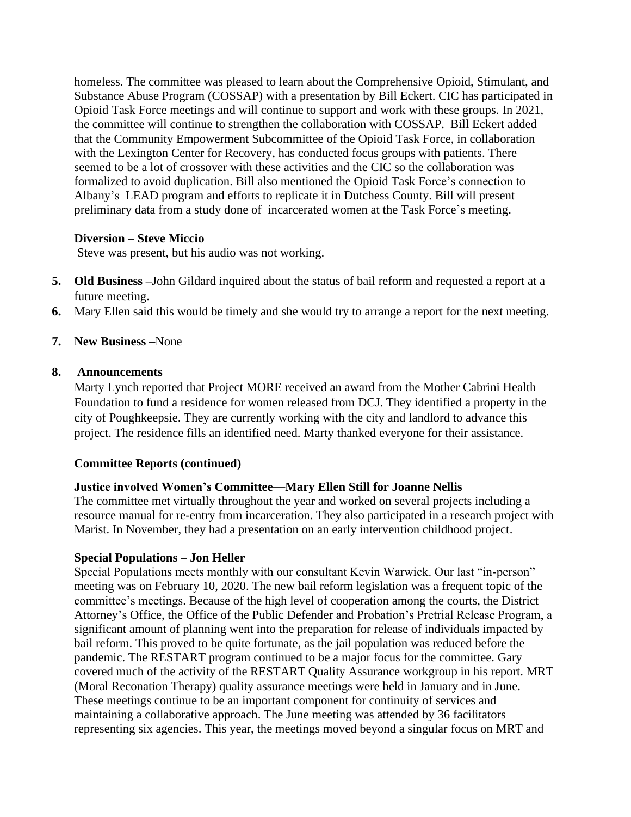homeless. The committee was pleased to learn about the Comprehensive Opioid, Stimulant, and Substance Abuse Program (COSSAP) with a presentation by Bill Eckert. CIC has participated in Opioid Task Force meetings and will continue to support and work with these groups. In 2021, the committee will continue to strengthen the collaboration with COSSAP. Bill Eckert added that the Community Empowerment Subcommittee of the Opioid Task Force, in collaboration with the Lexington Center for Recovery, has conducted focus groups with patients. There seemed to be a lot of crossover with these activities and the CIC so the collaboration was formalized to avoid duplication. Bill also mentioned the Opioid Task Force's connection to Albany's LEAD program and efforts to replicate it in Dutchess County. Bill will present preliminary data from a study done of incarcerated women at the Task Force's meeting.

### **Diversion – Steve Miccio**

Steve was present, but his audio was not working.

- **5. Old Business –**John Gildard inquired about the status of bail reform and requested a report at a future meeting.
- **6.** Mary Ellen said this would be timely and she would try to arrange a report for the next meeting.

# **7. New Business –**None

### **8. Announcements**

Marty Lynch reported that Project MORE received an award from the Mother Cabrini Health Foundation to fund a residence for women released from DCJ. They identified a property in the city of Poughkeepsie. They are currently working with the city and landlord to advance this project. The residence fills an identified need. Marty thanked everyone for their assistance.

# **Committee Reports (continued)**

# **Justice involved Women's Committee**—**Mary Ellen Still for Joanne Nellis**

The committee met virtually throughout the year and worked on several projects including a resource manual for re-entry from incarceration. They also participated in a research project with Marist. In November, they had a presentation on an early intervention childhood project.

### **Special Populations – Jon Heller**

Special Populations meets monthly with our consultant Kevin Warwick. Our last "in-person" meeting was on February 10, 2020. The new bail reform legislation was a frequent topic of the committee's meetings. Because of the high level of cooperation among the courts, the District Attorney's Office, the Office of the Public Defender and Probation's Pretrial Release Program, a significant amount of planning went into the preparation for release of individuals impacted by bail reform. This proved to be quite fortunate, as the jail population was reduced before the pandemic. The RESTART program continued to be a major focus for the committee. Gary covered much of the activity of the RESTART Quality Assurance workgroup in his report. MRT (Moral Reconation Therapy) quality assurance meetings were held in January and in June. These meetings continue to be an important component for continuity of services and maintaining a collaborative approach. The June meeting was attended by 36 facilitators representing six agencies. This year, the meetings moved beyond a singular focus on MRT and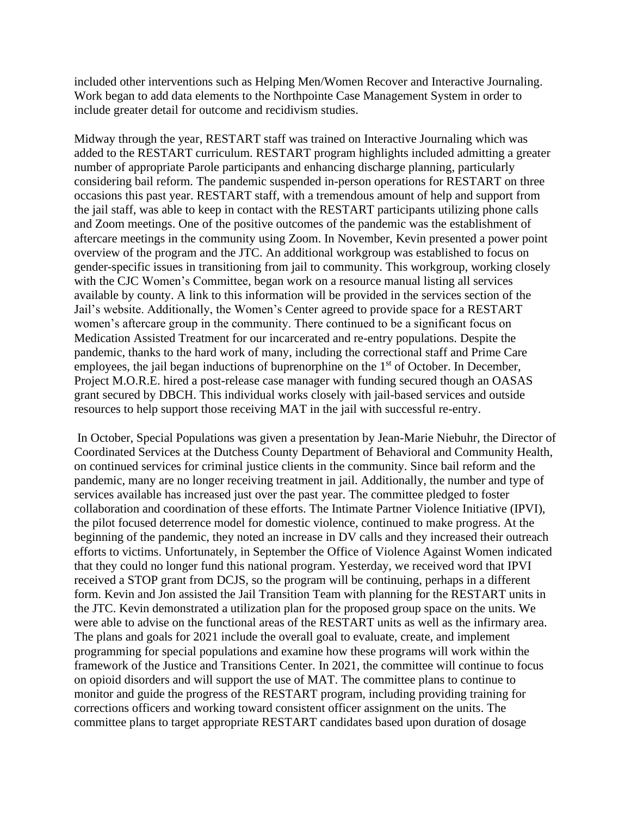included other interventions such as Helping Men/Women Recover and Interactive Journaling. Work began to add data elements to the Northpointe Case Management System in order to include greater detail for outcome and recidivism studies.

Midway through the year, RESTART staff was trained on Interactive Journaling which was added to the RESTART curriculum. RESTART program highlights included admitting a greater number of appropriate Parole participants and enhancing discharge planning, particularly considering bail reform. The pandemic suspended in-person operations for RESTART on three occasions this past year. RESTART staff, with a tremendous amount of help and support from the jail staff, was able to keep in contact with the RESTART participants utilizing phone calls and Zoom meetings. One of the positive outcomes of the pandemic was the establishment of aftercare meetings in the community using Zoom. In November, Kevin presented a power point overview of the program and the JTC. An additional workgroup was established to focus on gender-specific issues in transitioning from jail to community. This workgroup, working closely with the CJC Women's Committee, began work on a resource manual listing all services available by county. A link to this information will be provided in the services section of the Jail's website. Additionally, the Women's Center agreed to provide space for a RESTART women's aftercare group in the community. There continued to be a significant focus on Medication Assisted Treatment for our incarcerated and re-entry populations. Despite the pandemic, thanks to the hard work of many, including the correctional staff and Prime Care employees, the jail began inductions of buprenorphine on the  $1<sup>st</sup>$  of October. In December, Project M.O.R.E. hired a post-release case manager with funding secured though an OASAS grant secured by DBCH. This individual works closely with jail-based services and outside resources to help support those receiving MAT in the jail with successful re-entry.

In October, Special Populations was given a presentation by Jean-Marie Niebuhr, the Director of Coordinated Services at the Dutchess County Department of Behavioral and Community Health, on continued services for criminal justice clients in the community. Since bail reform and the pandemic, many are no longer receiving treatment in jail. Additionally, the number and type of services available has increased just over the past year. The committee pledged to foster collaboration and coordination of these efforts. The Intimate Partner Violence Initiative (IPVI), the pilot focused deterrence model for domestic violence, continued to make progress. At the beginning of the pandemic, they noted an increase in DV calls and they increased their outreach efforts to victims. Unfortunately, in September the Office of Violence Against Women indicated that they could no longer fund this national program. Yesterday, we received word that IPVI received a STOP grant from DCJS, so the program will be continuing, perhaps in a different form. Kevin and Jon assisted the Jail Transition Team with planning for the RESTART units in the JTC. Kevin demonstrated a utilization plan for the proposed group space on the units. We were able to advise on the functional areas of the RESTART units as well as the infirmary area. The plans and goals for 2021 include the overall goal to evaluate, create, and implement programming for special populations and examine how these programs will work within the framework of the Justice and Transitions Center. In 2021, the committee will continue to focus on opioid disorders and will support the use of MAT. The committee plans to continue to monitor and guide the progress of the RESTART program, including providing training for corrections officers and working toward consistent officer assignment on the units. The committee plans to target appropriate RESTART candidates based upon duration of dosage